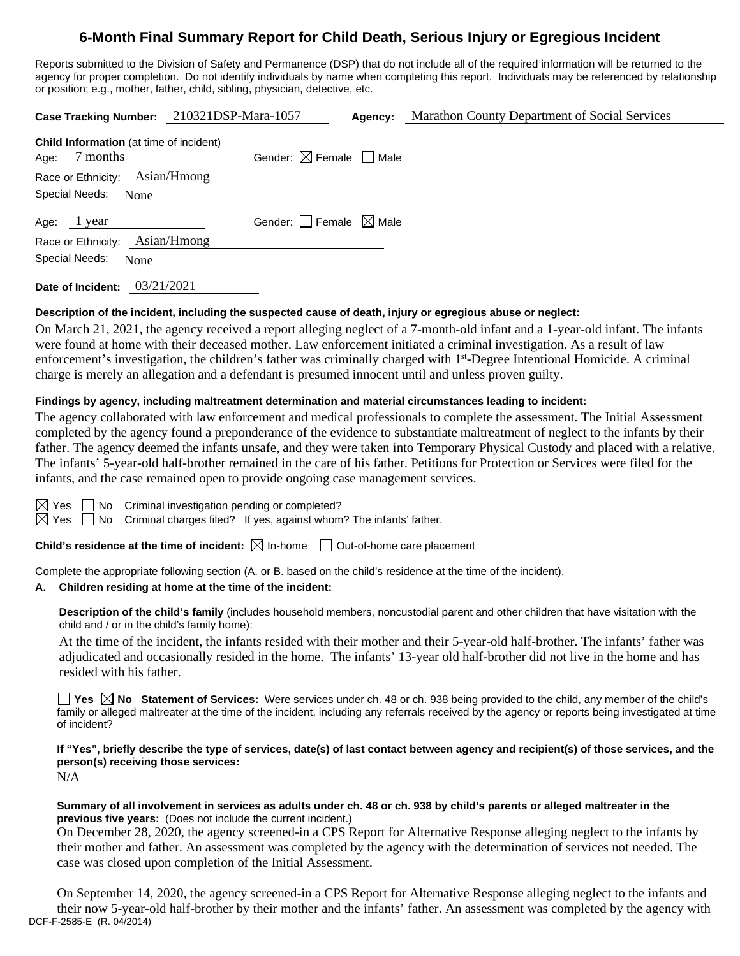# **6-Month Final Summary Report for Child Death, Serious Injury or Egregious Incident**

Reports submitted to the Division of Safety and Permanence (DSP) that do not include all of the required information will be returned to the agency for proper completion. Do not identify individuals by name when completing this report. Individuals may be referenced by relationship or position; e.g., mother, father, child, sibling, physician, detective, etc.

| Child Information (at time of incident)<br>Gender: $\boxtimes$ Female $\Box$ Male<br>7 months<br>Age: |  |
|-------------------------------------------------------------------------------------------------------|--|
| Race or Ethnicity: Asian/Hmong                                                                        |  |
| Special Needs: None                                                                                   |  |
| Gender: Female $\boxtimes$ Male<br>Age: 1 year                                                        |  |
| Race or Ethnicity: Asian/Hmong                                                                        |  |
| Special Needs:<br>None                                                                                |  |

**Date of Incident:** 03/21/2021

### **Description of the incident, including the suspected cause of death, injury or egregious abuse or neglect:**

On March 21, 2021, the agency received a report alleging neglect of a 7-month-old infant and a 1-year-old infant. The infants were found at home with their deceased mother. Law enforcement initiated a criminal investigation. As a result of law enforcement's investigation, the children's father was criminally charged with 1<sup>st</sup>-Degree Intentional Homicide. A criminal charge is merely an allegation and a defendant is presumed innocent until and unless proven guilty.

#### **Findings by agency, including maltreatment determination and material circumstances leading to incident:**

The agency collaborated with law enforcement and medical professionals to complete the assessment. The Initial Assessment completed by the agency found a preponderance of the evidence to substantiate maltreatment of neglect to the infants by their father. The agency deemed the infants unsafe, and they were taken into Temporary Physical Custody and placed with a relative. The infants' 5-year-old half-brother remained in the care of his father. Petitions for Protection or Services were filed for the infants, and the case remained open to provide ongoing case management services.

| - |  |
|---|--|
|   |  |

No Criminal investigation pending or completed?

 $\Box$  No Criminal charges filed? If yes, against whom? The infants' father.

**Child's residence at the time of incident:**  $\boxtimes$  In-home  $\Box$  Out-of-home care placement

Complete the appropriate following section (A. or B. based on the child's residence at the time of the incident).

## **A. Children residing at home at the time of the incident:**

**Description of the child's family** (includes household members, noncustodial parent and other children that have visitation with the child and / or in the child's family home):

At the time of the incident, the infants resided with their mother and their 5-year-old half-brother. The infants' father was adjudicated and occasionally resided in the home. The infants' 13-year old half-brother did not live in the home and has resided with his father.

**Yes**  $\boxtimes$  **No** Statement of Services: Were services under ch. 48 or ch. 938 being provided to the child, any member of the child's family or alleged maltreater at the time of the incident, including any referrals received by the agency or reports being investigated at time of incident?

**If "Yes", briefly describe the type of services, date(s) of last contact between agency and recipient(s) of those services, and the person(s) receiving those services:**

N/A

#### **Summary of all involvement in services as adults under ch. 48 or ch. 938 by child's parents or alleged maltreater in the previous five years:** (Does not include the current incident.)

On December 28, 2020, the agency screened-in a CPS Report for Alternative Response alleging neglect to the infants by their mother and father. An assessment was completed by the agency with the determination of services not needed. The case was closed upon completion of the Initial Assessment.

DCF-F-2585-E (R. 04/2014) On September 14, 2020, the agency screened-in a CPS Report for Alternative Response alleging neglect to the infants and their now 5-year-old half-brother by their mother and the infants' father. An assessment was completed by the agency with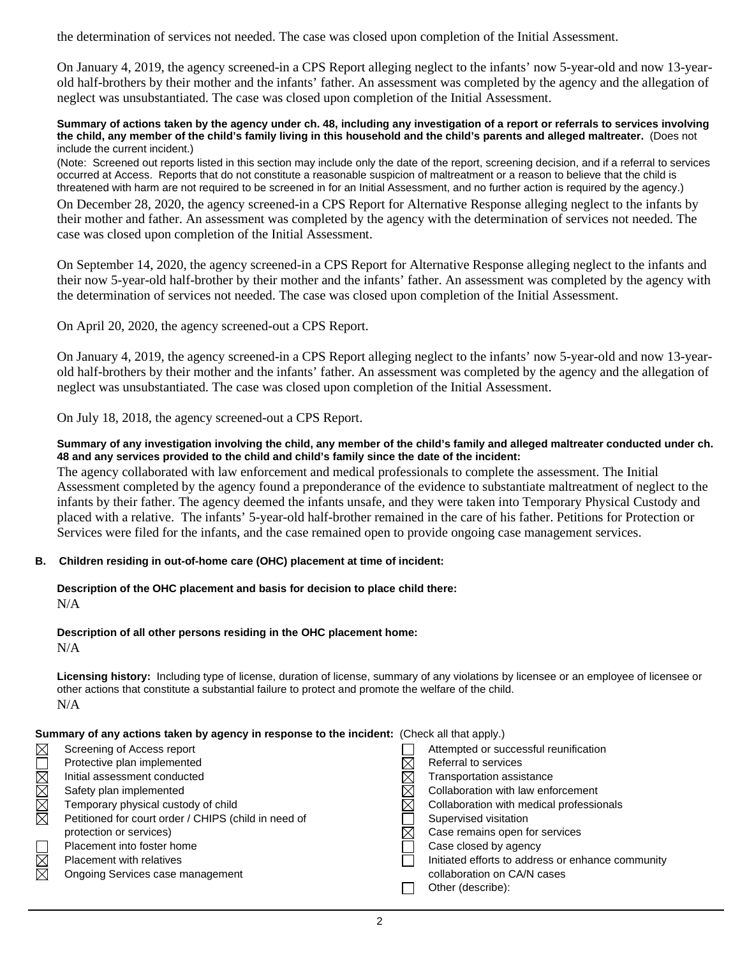the determination of services not needed. The case was closed upon completion of the Initial Assessment.

On January 4, 2019, the agency screened-in a CPS Report alleging neglect to the infants' now 5-year-old and now 13-yearold half-brothers by their mother and the infants' father. An assessment was completed by the agency and the allegation of neglect was unsubstantiated. The case was closed upon completion of the Initial Assessment.

**Summary of actions taken by the agency under ch. 48, including any investigation of a report or referrals to services involving the child, any member of the child's family living in this household and the child's parents and alleged maltreater.** (Does not include the current incident.)

(Note: Screened out reports listed in this section may include only the date of the report, screening decision, and if a referral to services occurred at Access. Reports that do not constitute a reasonable suspicion of maltreatment or a reason to believe that the child is threatened with harm are not required to be screened in for an Initial Assessment, and no further action is required by the agency.)

On December 28, 2020, the agency screened-in a CPS Report for Alternative Response alleging neglect to the infants by their mother and father. An assessment was completed by the agency with the determination of services not needed. The case was closed upon completion of the Initial Assessment.

On September 14, 2020, the agency screened-in a CPS Report for Alternative Response alleging neglect to the infants and their now 5-year-old half-brother by their mother and the infants' father. An assessment was completed by the agency with the determination of services not needed. The case was closed upon completion of the Initial Assessment.

On April 20, 2020, the agency screened-out a CPS Report.

On January 4, 2019, the agency screened-in a CPS Report alleging neglect to the infants' now 5-year-old and now 13-yearold half-brothers by their mother and the infants' father. An assessment was completed by the agency and the allegation of neglect was unsubstantiated. The case was closed upon completion of the Initial Assessment.

On July 18, 2018, the agency screened-out a CPS Report.

#### **Summary of any investigation involving the child, any member of the child's family and alleged maltreater conducted under ch. 48 and any services provided to the child and child's family since the date of the incident:**

The agency collaborated with law enforcement and medical professionals to complete the assessment. The Initial Assessment completed by the agency found a preponderance of the evidence to substantiate maltreatment of neglect to the infants by their father. The agency deemed the infants unsafe, and they were taken into Temporary Physical Custody and placed with a relative. The infants' 5-year-old half-brother remained in the care of his father. Petitions for Protection or Services were filed for the infants, and the case remained open to provide ongoing case management services.

#### **B. Children residing in out-of-home care (OHC) placement at time of incident:**

**Description of the OHC placement and basis for decision to place child there:** N/A

#### **Description of all other persons residing in the OHC placement home:**

N/A

**Licensing history:** Including type of license, duration of license, summary of any violations by licensee or an employee of licensee or other actions that constitute a substantial failure to protect and promote the welfare of the child. N/A

#### **Summary of any actions taken by agency in response to the incident:** (Check all that apply.)

| $\boxtimes$ | Screening of Access report                           | Attempted or successful reunification             |
|-------------|------------------------------------------------------|---------------------------------------------------|
|             | Protective plan implemented                          | Referral to services                              |
|             | Initial assessment conducted                         | Transportation assistance                         |
| NNNNN       | Safety plan implemented                              | Collaboration with law enforcement                |
|             | Temporary physical custody of child                  | Collaboration with medical professionals          |
|             | Petitioned for court order / CHIPS (child in need of | Supervised visitation                             |
|             | protection or services)                              | Case remains open for services                    |
|             | Placement into foster home                           | Case closed by agency                             |
| N<br>N      | Placement with relatives                             | Initiated efforts to address or enhance community |
|             | Ongoing Services case management                     | collaboration on CA/N cases                       |
|             |                                                      | Other (describe):                                 |